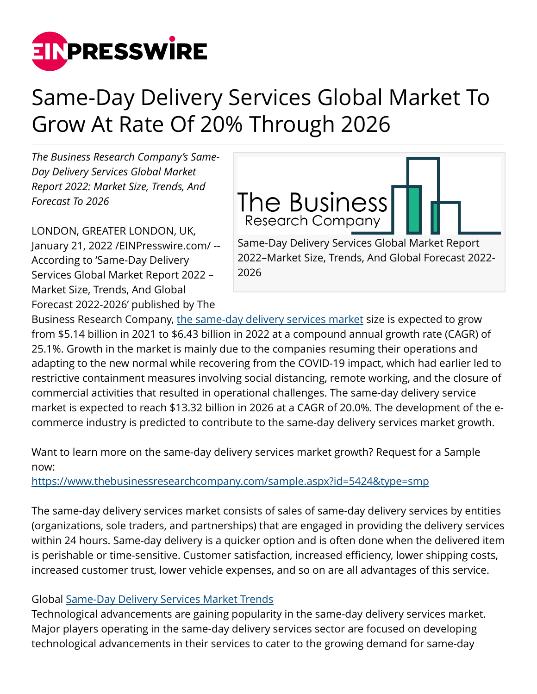

## Same-Day Delivery Services Global Market To Grow At Rate Of 20% Through 2026

*The Business Research Company's Same-Day Delivery Services Global Market Report 2022: Market Size, Trends, And Forecast To 2026*

LONDON, GREATER LONDON, UK, January 21, 2022 /[EINPresswire.com](http://www.einpresswire.com)/ -- According to 'Same-Day Delivery Services Global Market Report 2022 – Market Size, Trends, And Global Forecast 2022-2026' published by The



Business Research Company, [the same-day delivery services market](https://www.thebusinessresearchcompany.com/global-market-reports) size is expected to grow from \$5.14 billion in 2021 to \$6.43 billion in 2022 at a compound annual growth rate (CAGR) of 25.1%. Growth in the market is mainly due to the companies resuming their operations and adapting to the new normal while recovering from the COVID-19 impact, which had earlier led to restrictive containment measures involving social distancing, remote working, and the closure of commercial activities that resulted in operational challenges. The same-day delivery service market is expected to reach \$13.32 billion in 2026 at a CAGR of 20.0%. The development of the ecommerce industry is predicted to contribute to the same-day delivery services market growth.

2026

Want to learn more on the same-day delivery services market growth? Request for a Sample now:

<https://www.thebusinessresearchcompany.com/sample.aspx?id=5424&type=smp>

The same-day delivery services market consists of sales of same-day delivery services by entities (organizations, sole traders, and partnerships) that are engaged in providing the delivery services within 24 hours. Same-day delivery is a quicker option and is often done when the delivered item is perishable or time-sensitive. Customer satisfaction, increased efficiency, lower shipping costs, increased customer trust, lower vehicle expenses, and so on are all advantages of this service.

## Global [Same-Day Delivery Services Market Trends](https://www.thebusinessresearchcompany.com/report/same-day-delivery-services-global-market-report)

Technological advancements are gaining popularity in the same-day delivery services market. Major players operating in the same-day delivery services sector are focused on developing technological advancements in their services to cater to the growing demand for same-day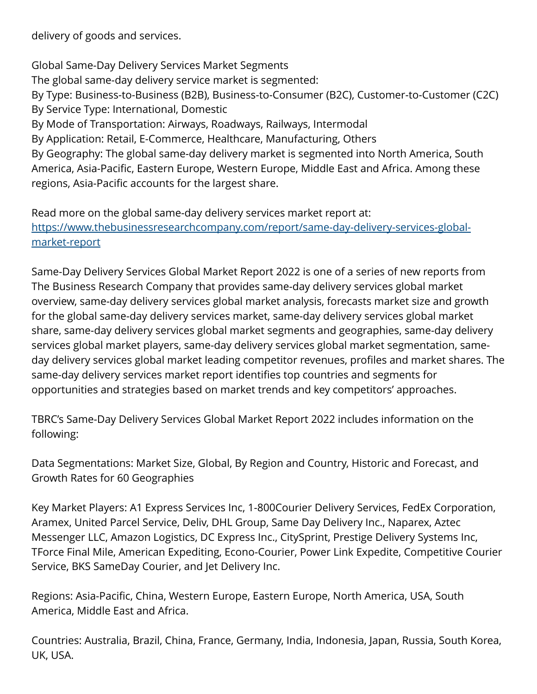delivery of goods and services.

Global Same-Day Delivery Services Market Segments The global same-day delivery service market is segmented: By Type: Business-to-Business (B2B), Business-to-Consumer (B2C), Customer-to-Customer (C2C) By Service Type: International, Domestic By Mode of Transportation: Airways, Roadways, Railways, Intermodal By Application: Retail, E-Commerce, Healthcare, Manufacturing, Others By Geography: The global same-day delivery market is segmented into North America, South America, Asia-Pacific, Eastern Europe, Western Europe, Middle East and Africa. Among these regions, Asia-Pacific accounts for the largest share.

Read more on the global same-day delivery services market report at: [https://www.thebusinessresearchcompany.com/report/same-day-delivery-services-global](https://www.thebusinessresearchcompany.com/report/same-day-delivery-services-global-market-report)[market-report](https://www.thebusinessresearchcompany.com/report/same-day-delivery-services-global-market-report)

Same-Day Delivery Services Global Market Report 2022 is one of a series of new reports from The Business Research Company that provides same-day delivery services global market overview, same-day delivery services global market analysis, forecasts market size and growth for the global same-day delivery services market, same-day delivery services global market share, same-day delivery services global market segments and geographies, same-day delivery services global market players, same-day delivery services global market segmentation, sameday delivery services global market leading competitor revenues, profiles and market shares. The same-day delivery services market report identifies top countries and segments for opportunities and strategies based on market trends and key competitors' approaches.

TBRC's Same-Day Delivery Services Global Market Report 2022 includes information on the following:

Data Segmentations: Market Size, Global, By Region and Country, Historic and Forecast, and Growth Rates for 60 Geographies

Key Market Players: A1 Express Services Inc, 1-800Courier Delivery Services, FedEx Corporation, Aramex, United Parcel Service, Deliv, DHL Group, Same Day Delivery Inc., Naparex, Aztec Messenger LLC, Amazon Logistics, DC Express Inc., CitySprint, Prestige Delivery Systems Inc, TForce Final Mile, American Expediting, Econo-Courier, Power Link Expedite, Competitive Courier Service, BKS SameDay Courier, and Jet Delivery Inc.

Regions: Asia-Pacific, China, Western Europe, Eastern Europe, North America, USA, South America, Middle East and Africa.

Countries: Australia, Brazil, China, France, Germany, India, Indonesia, Japan, Russia, South Korea, UK, USA.